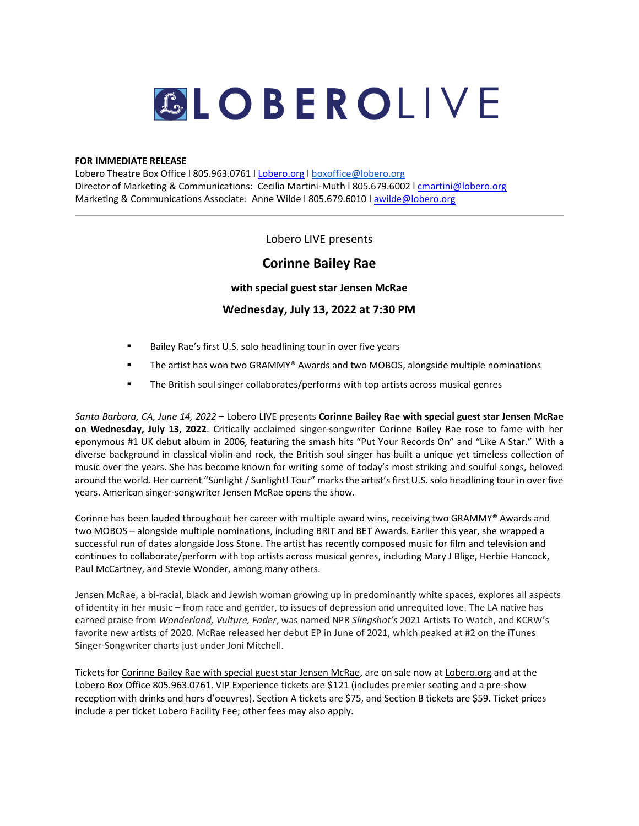# GLOBEROLIVE

#### **FOR IMMEDIATE RELEASE**

Lobero Theatre Box Office l 805.963.0761 [l Lobero.org](https://www.lobero.org/) l [boxoffice@lobero.org](mailto:boxoffice@lobero.org) Director of Marketing & Communications: Cecilia Martini-Muth l 805.679.6002 l [cmartini@lobero.org](mailto:cmartini@lobero.org) Marketing & Communications Associate: Anne Wilde l 805.679.6010 l [awilde@lobero.org](mailto:awilde@lobero.org)

## Lobero LIVE presents

# **Corinne Bailey Rae**

**with special guest star Jensen McRae**

## **Wednesday, July 13, 2022 at 7:30 PM**

- Bailey Rae's first U.S. solo headlining tour in over five years
- The artist has won two GRAMMY<sup>®</sup> Awards and two MOBOS, alongside multiple nominations
- **■** The British soul singer collaborates/performs with top artists across musical genres

*Santa Barbara, CA, June 14, 2022* – Lobero LIVE presents **Corinne Bailey Rae with special guest star Jensen McRae on Wednesday, July 13, 2022**. Critically acclaimed singer-songwriter Corinne Bailey Rae rose to fame with her eponymous #1 UK debut album in 2006, featuring the smash hits "Put Your Records On" and "Like A Star." With a diverse background in classical violin and rock, the British soul singer has built a unique yet timeless collection of music over the years. She has become known for writing some of today's most striking and soulful songs, beloved around the world. Her current "Sunlight / Sunlight! Tour" marks the artist's first U.S. solo headlining tour in over five years. American singer-songwriter Jensen McRae opens the show.

Corinne has been lauded throughout her career with multiple award wins, receiving two GRAMMY® Awards and two MOBOS – alongside multiple nominations, including BRIT and BET Awards. Earlier this year, she wrapped a successful run of dates alongside Joss Stone. The artist has recently composed music for film and television and continues to collaborate/perform with top artists across musical genres, including Mary J Blige, Herbie Hancock, Paul McCartney, and Stevie Wonder, among many others.

Jensen McRae, a bi-racial, black and Jewish woman growing up in predominantly white spaces, explores all aspects of identity in her music – from race and gender, to issues of depression and unrequited love. The LA native has earned praise from *Wonderland, Vulture, Fader*, was named NPR *Slingshot's* 2021 Artists To Watch, and KCRW's favorite new artists of 2020. McRae released her debut EP in June of 2021, which peaked at #2 on the iTunes Singer-Songwriter charts just under Joni Mitchell.

Tickets fo[r Corinne Bailey Rae with special guest star Jensen McRae,](https://www.lobero.org/events/corinne-bailey-rae/) are on sale now a[t Lobero.org](https://www.lobero.org/) and at the Lobero Box Office 805.963.0761. VIP Experience tickets are \$121 (includes premier seating and a pre-show reception with drinks and hors d'oeuvres). Section A tickets are \$75, and Section B tickets are \$59. Ticket prices include a per ticket Lobero Facility Fee; other fees may also apply.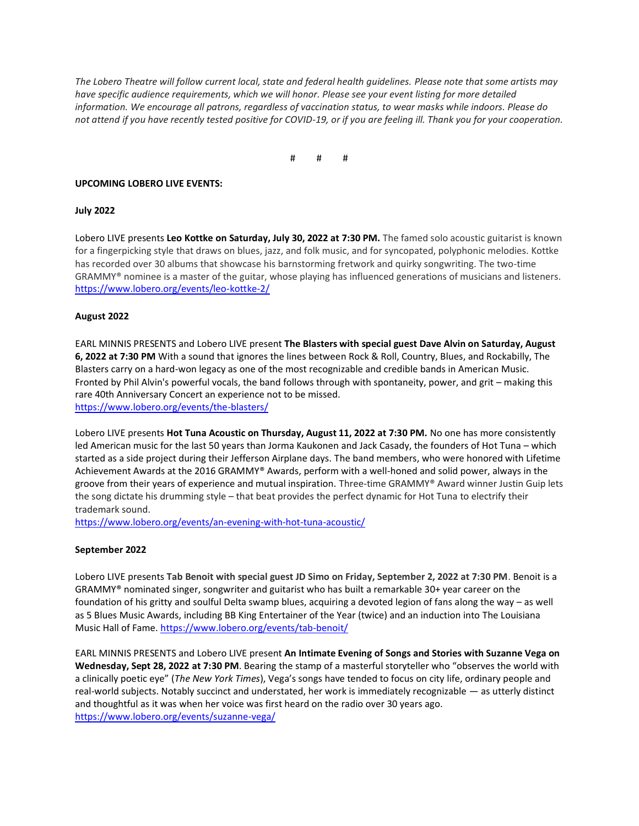*The Lobero Theatre will follow current local, state and federal health guidelines. Please note that some artists may have specific audience requirements, which we will honor. Please see your event listing for more detailed information. We encourage all patrons, regardless of vaccination status, to wear masks while indoors. Please do not attend if you have recently tested positive for COVID-19, or if you are feeling ill. Thank you for your cooperation.*

# # #

#### **UPCOMING LOBERO LIVE EVENTS:**

#### **July 2022**

Lobero LIVE presents **Leo Kottke on Saturday, July 30, 2022 at 7:30 PM.** The famed solo acoustic guitarist is known for a fingerpicking style that draws on blues, jazz, and folk music, and for syncopated, polyphonic melodies. Kottke has recorded over 30 albums that showcase his barnstorming fretwork and quirky songwriting. The two-time GRAMMY® nominee is a master of the guitar, whose playing has influenced generations of musicians and listeners. <https://www.lobero.org/events/leo-kottke-2/>

#### **August 2022**

EARL MINNIS PRESENTS and Lobero LIVE present **The Blasters with special guest Dave Alvin on Saturday, August 6, 2022 at 7:30 PM** With a sound that ignores the lines between Rock & Roll, Country, Blues, and Rockabilly, The Blasters carry on a hard-won legacy as one of the most recognizable and credible bands in American Music. Fronted by Phil Alvin's powerful vocals, the band follows through with spontaneity, power, and grit – making this rare 40th Anniversary Concert an experience not to be missed. <https://www.lobero.org/events/the-blasters/>

Lobero LIVE presents **Hot Tuna Acoustic on Thursday, August 11, 2022 at 7:30 PM.** No one has more consistently led American music for the last 50 years than Jorma Kaukonen and Jack Casady, the founders of Hot Tuna – which started as a side project during their Jefferson Airplane days. The band members, who were honored with Lifetime Achievement Awards at the 2016 GRAMMY® Awards, perform with a well-honed and solid power, always in the groove from their years of experience and mutual inspiration. Three-time GRAMMY® Award winner Justin Guip lets the song dictate his drumming style – that beat provides the perfect dynamic for Hot Tuna to electrify their trademark sound.

<https://www.lobero.org/events/an-evening-with-hot-tuna-acoustic/>

## **September 2022**

Lobero LIVE presents **Tab Benoit with special guest JD Simo on Friday, September 2, 2022 at 7:30 PM**. Benoit is a GRAMMY® nominated singer, songwriter and guitarist who has built a remarkable 30+ year career on the foundation of his gritty and soulful Delta swamp blues, acquiring a devoted legion of fans along the way – as well as 5 Blues Music Awards, including BB King Entertainer of the Year (twice) and an induction into The Louisiana Music Hall of Fame.<https://www.lobero.org/events/tab-benoit/>

EARL MINNIS PRESENTS and Lobero LIVE present **An Intimate Evening of Songs and Stories with Suzanne Vega on Wednesday, Sept 28, 2022 at 7:30 PM**. Bearing the stamp of a masterful storyteller who "observes the world with a clinically poetic eye" (*The New York Times*), Vega's songs have tended to focus on city life, ordinary people and real-world subjects. Notably succinct and understated, her work is immediately recognizable — as utterly distinct and thoughtful as it was when her voice was first heard on the radio over 30 years ago. <https://www.lobero.org/events/suzanne-vega/>